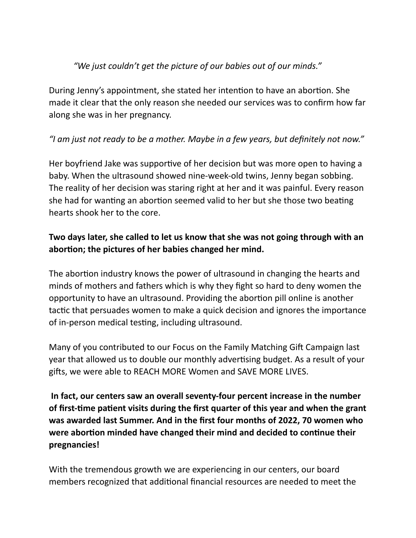## *"We just couldn't get the picture of our babies out of our minds."*

During Jenny's appointment, she stated her intention to have an abortion. She made it clear that the only reason she needed our services was to confirm how far along she was in her pregnancy.

## *"I am just not ready to be a mother. Maybe in a few years, but definitely not now."*

Her boyfriend Jake was supportive of her decision but was more open to having a baby. When the ultrasound showed nine-week-old twins, Jenny began sobbing. The reality of her decision was staring right at her and it was painful. Every reason she had for wanting an abortion seemed valid to her but she those two beating hearts shook her to the core.

## **Two days later, she called to let us know that she was not going through with an abortion; the pictures of her babies changed her mind.**

The abortion industry knows the power of ultrasound in changing the hearts and minds of mothers and fathers which is why they fight so hard to deny women the opportunity to have an ultrasound. Providing the abortion pill online is another tactic that persuades women to make a quick decision and ignores the importance of in-person medical testing, including ultrasound.

Many of you contributed to our Focus on the Family Matching Gift Campaign last year that allowed us to double our monthly advertising budget. As a result of your gifts, we were able to REACH MORE Women and SAVE MORE LIVES.

**In fact, our centers saw an overall seventy-four percent increase in the number of first-time patient visits during the first quarter of this year and when the grant was awarded last Summer. And in the first four months of 2022, 70 women who were abortion minded have changed their mind and decided to continue their pregnancies!**

With the tremendous growth we are experiencing in our centers, our board members recognized that additional financial resources are needed to meet the